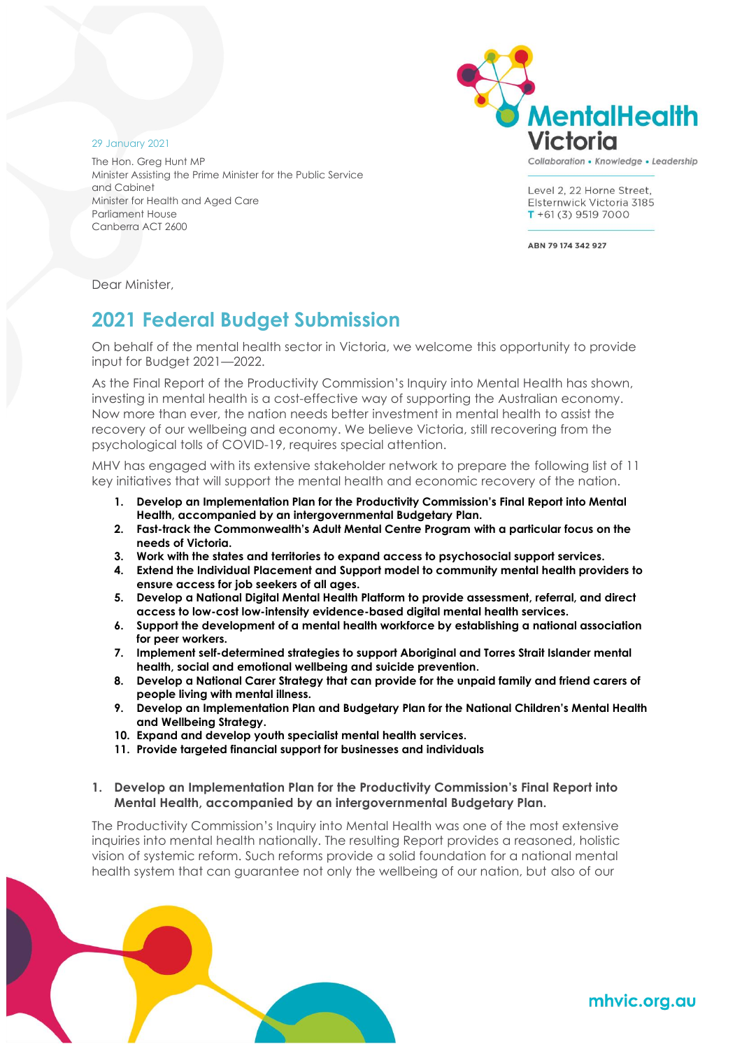

Collaboration • Knowledge • Leadership

Level 2, 22 Horne Street. Elsternwick Victoria 3185  $T + 61(3)$  9519 7000

ABN 79 174 342 927

The Hon. Greg Hunt MP Minister Assisting the Prime Minister for the Public Service and Cabinet Minister for Health and Aged Care Parliament House Canberra ACT 2600

Dear Minister,

29 January 2021

# **2021 Federal Budget Submission**

On behalf of the mental health sector in Victoria, we welcome this opportunity to provide input for Budget 2021—2022.

As the Final Report of the Productivity Commission's Inquiry into Mental Health has shown, investing in mental health is a cost-effective way of supporting the Australian economy. Now more than ever, the nation needs better investment in mental health to assist the recovery of our wellbeing and economy. We believe Victoria, still recovering from the psychological tolls of COVID-19, requires special attention.

MHV has engaged with its extensive stakeholder network to prepare the following list of 11 key initiatives that will support the mental health and economic recovery of the nation.

- **1. Develop an Implementation Plan for the Productivity Commission's Final Report into Mental Health, accompanied by an intergovernmental Budgetary Plan.**
- **2. Fast-track the Commonwealth's Adult Mental Centre Program with a particular focus on the needs of Victoria.**
- **3. Work with the states and territories to expand access to psychosocial support services.**
- **4. Extend the Individual Placement and Support model to community mental health providers to ensure access for job seekers of all ages.**
- **5. Develop a National Digital Mental Health Platform to provide assessment, referral, and direct access to low-cost low-intensity evidence-based digital mental health services.**
- **6. Support the development of a mental health workforce by establishing a national association for peer workers.**
- **7. Implement self-determined strategies to support Aboriginal and Torres Strait Islander mental health, social and emotional wellbeing and suicide prevention.**
- **8. Develop a National Carer Strategy that can provide for the unpaid family and friend carers of people living with mental illness.**
- **9. Develop an Implementation Plan and Budgetary Plan for the National Children's Mental Health and Wellbeing Strategy.**
- **10. Expand and develop youth specialist mental health services.**
- **11. Provide targeted financial support for businesses and individuals**
- **1. Develop an Implementation Plan for the Productivity Commission's Final Report into Mental Health, accompanied by an intergovernmental Budgetary Plan.**

The Productivity Commission's Inquiry into Mental Health was one of the most extensive inquiries into mental health nationally. The resulting Report provides a reasoned, holistic vision of systemic reform. Such reforms provide a solid foundation for a national mental health system that can guarantee not only the wellbeing of our nation, but also of our

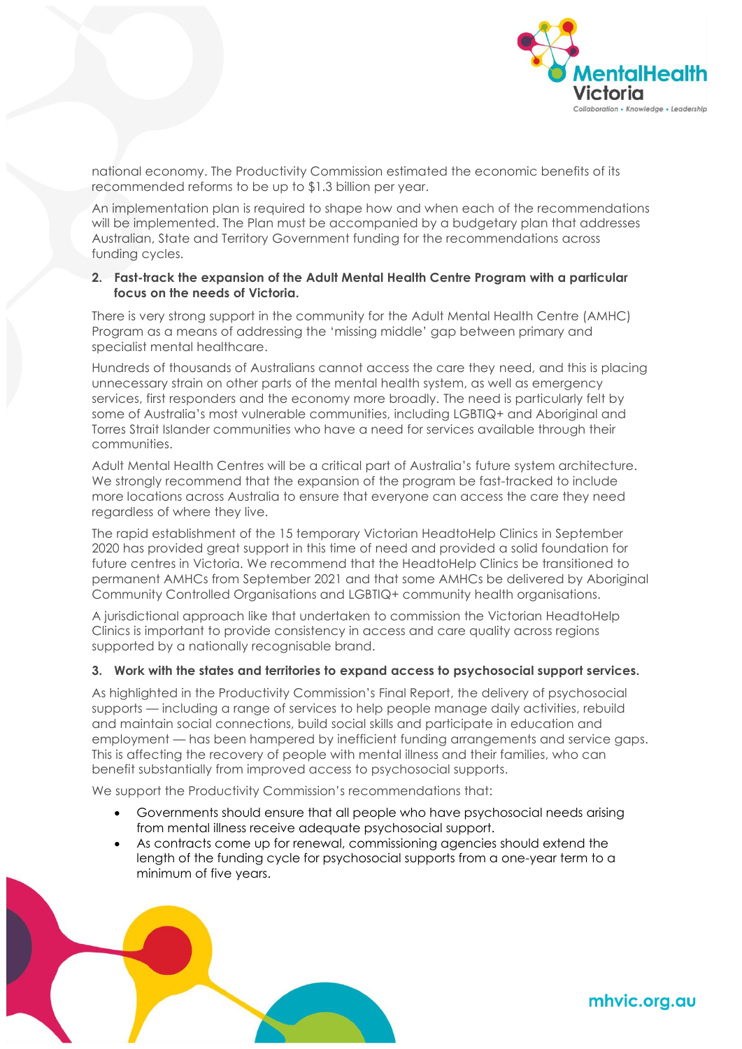

national economy. The Productivity Commission estimated the economic benefits of its recommended reforms to be up to \$1.3 billion per year.

An implementation plan is required to shape how and when each of the recommendations will be implemented. The Plan must be accompanied by a budgetary plan that addresses Australian, State and Territory Government funding for the recommendations across funding cycles.

### **2. Fast-track the expansion of the Adult Mental Health Centre Program with a particular focus on the needs of Victoria.**

There is very strong support in the community for the Adult Mental Health Centre (AMHC) Program as a means of addressing the 'missing middle' gap between primary and specialist mental healthcare.

Hundreds of thousands of Australians cannot access the care they need, and this is placing unnecessary strain on other parts of the mental health system, as well as emergency services, first responders and the economy more broadly. The need is particularly felt by some of Australia's most vulnerable communities, including LGBTIQ+ and Aboriginal and Torres Strait Islander communities who have a need for services available through their communities.

Adult Mental Health Centres will be a critical part of Australia's future system architecture. We strongly recommend that the expansion of the program be fast-tracked to include more locations across Australia to ensure that everyone can access the care they need regardless of where they live.

The rapid establishment of the 15 temporary Victorian HeadtoHelp Clinics in September 2020 has provided great support in this time of need and provided a solid foundation for future centres in Victoria. We recommend that the HeadtoHelp Clinics be transitioned to permanent AMHCs from September 2021 and that some AMHCs be delivered by Aboriginal Community Controlled Organisations and LGBTIQ+ community health organisations.

A jurisdictional approach like that undertaken to commission the Victorian HeadtoHelp Clinics is important to provide consistency in access and care quality across regions supported by a nationally recognisable brand.

### **3. Work with the states and territories to expand access to psychosocial support services.**

As highlighted in the Productivity Commission's Final Report, the delivery of psychosocial supports — including a range of services to help people manage daily activities, rebuild and maintain social connections, build social skills and participate in education and employment — has been hampered by inefficient funding arrangements and service gaps. This is affecting the recovery of people with mental illness and their families, who can benefit substantially from improved access to psychosocial supports.

We support the Productivity Commission's recommendations that:

- Governments should ensure that all people who have psychosocial needs arising from mental illness receive adequate psychosocial support.
- As contracts come up for renewal, commissioning agencies should extend the length of the funding cycle for psychosocial supports from a one-year term to a minimum of five years.

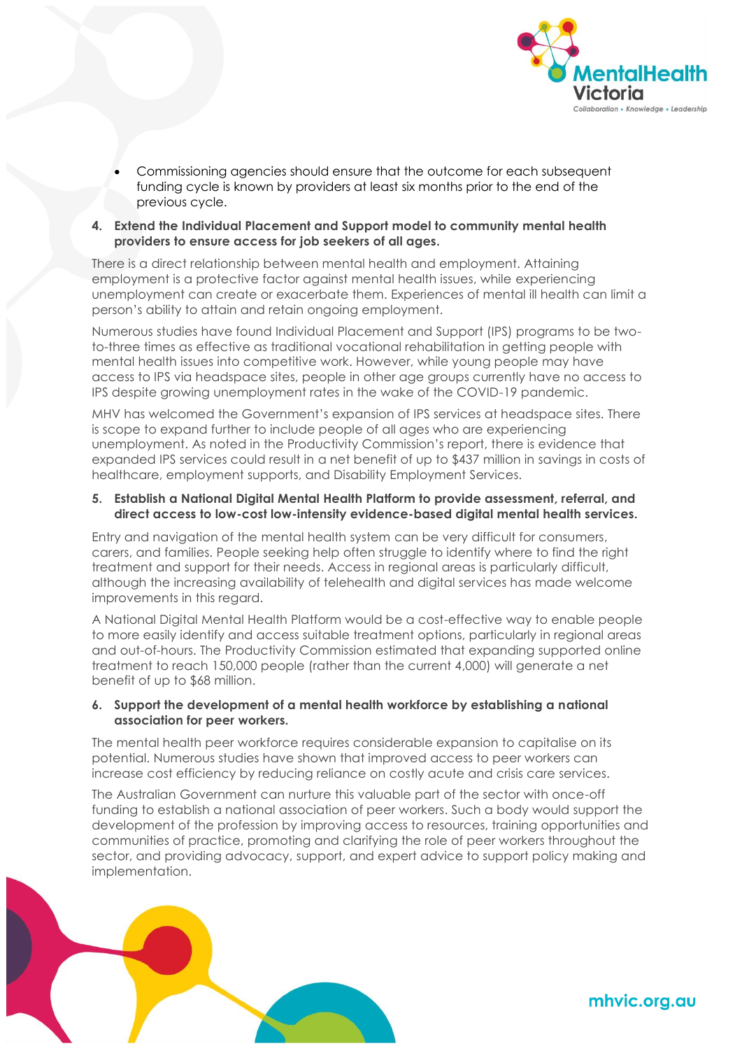

- Commissioning agencies should ensure that the outcome for each subsequent funding cycle is known by providers at least six months prior to the end of the previous cycle.
- **4. Extend the Individual Placement and Support model to community mental health providers to ensure access for job seekers of all ages.**

There is a direct relationship between mental health and employment. Attaining employment is a protective factor against mental health issues, while experiencing unemployment can create or exacerbate them. Experiences of mental ill health can limit a person's ability to attain and retain ongoing employment.

Numerous studies have found Individual Placement and Support (IPS) programs to be twoto-three times as effective as traditional vocational rehabilitation in getting people with mental health issues into competitive work. However, while young people may have access to IPS via headspace sites, people in other age groups currently have no access to IPS despite growing unemployment rates in the wake of the COVID-19 pandemic.

MHV has welcomed the Government's expansion of IPS services at headspace sites. There is scope to expand further to include people of all ages who are experiencing unemployment. As noted in the Productivity Commission's report, there is evidence that expanded IPS services could result in a net benefit of up to \$437 million in savings in costs of healthcare, employment supports, and Disability Employment Services.

#### **5. Establish a National Digital Mental Health Platform to provide assessment, referral, and direct access to low-cost low-intensity evidence-based digital mental health services.**

Entry and navigation of the mental health system can be very difficult for consumers, carers, and families. People seeking help often struggle to identify where to find the right treatment and support for their needs. Access in regional areas is particularly difficult, although the increasing availability of telehealth and digital services has made welcome improvements in this regard.

A National Digital Mental Health Platform would be a cost-effective way to enable people to more easily identify and access suitable treatment options, particularly in regional areas and out-of-hours. The Productivity Commission estimated that expanding supported online treatment to reach 150,000 people (rather than the current 4,000) will generate a net benefit of up to \$68 million.

### **6. Support the development of a mental health workforce by establishing a national association for peer workers.**

The mental health peer workforce requires considerable expansion to capitalise on its potential. Numerous studies have shown that improved access to peer workers can increase cost efficiency by reducing reliance on costly acute and crisis care services.

The Australian Government can nurture this valuable part of the sector with once-off funding to establish a national association of peer workers. Such a body would support the development of the profession by improving access to resources, training opportunities and communities of practice, promoting and clarifying the role of peer workers throughout the sector, and providing advocacy, support, and expert advice to support policy making and implementation.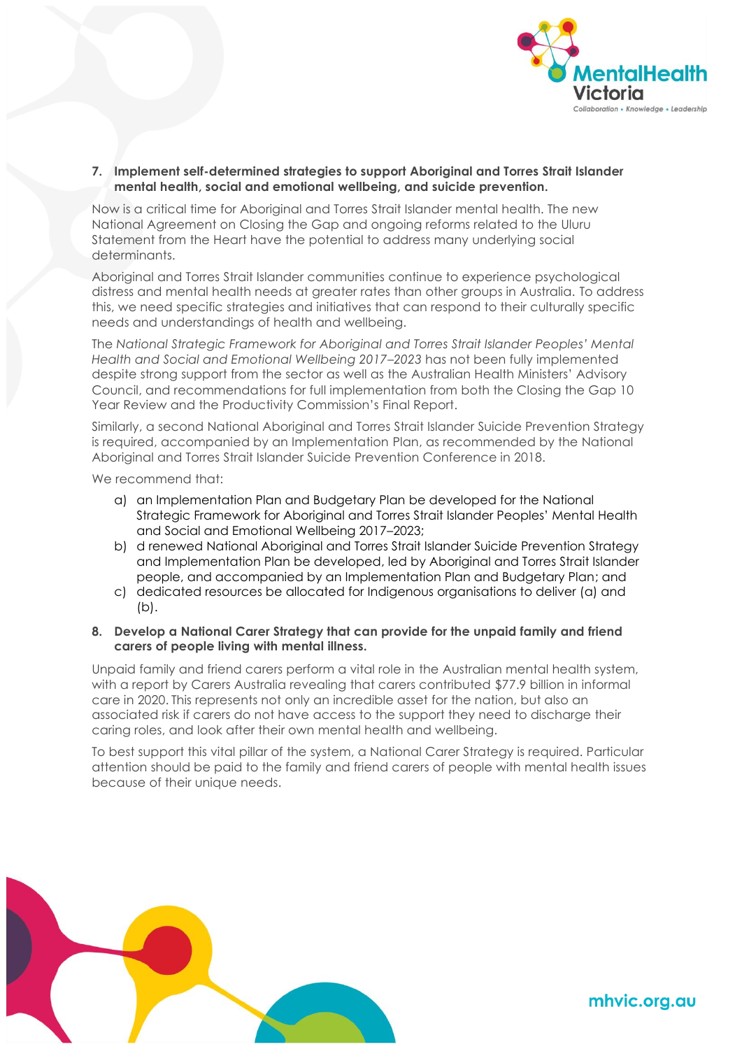

**7. Implement self-determined strategies to support Aboriginal and Torres Strait Islander mental health, social and emotional wellbeing, and suicide prevention.**

Now is a critical time for Aboriginal and Torres Strait Islander mental health. The new National Agreement on Closing the Gap and ongoing reforms related to the Uluru Statement from the Heart have the potential to address many underlying social determinants.

Aboriginal and Torres Strait Islander communities continue to experience psychological distress and mental health needs at greater rates than other groups in Australia. To address this, we need specific strategies and initiatives that can respond to their culturally specific needs and understandings of health and wellbeing.

The *National Strategic Framework for Aboriginal and Torres Strait Islander Peoples' Mental Health and Social and Emotional Wellbeing 2017–2023* has not been fully implemented despite strong support from the sector as well as the Australian Health Ministers' Advisory Council, and recommendations for full implementation from both the Closing the Gap 10 Year Review and the Productivity Commission's Final Report.

Similarly, a second National Aboriginal and Torres Strait Islander Suicide Prevention Strategy is required, accompanied by an Implementation Plan, as recommended by the National Aboriginal and Torres Strait Islander Suicide Prevention Conference in 2018.

We recommend that:

- a) an Implementation Plan and Budgetary Plan be developed for the National Strategic Framework for Aboriginal and Torres Strait Islander Peoples' Mental Health and Social and Emotional Wellbeing 2017–2023;
- b) d renewed National Aboriginal and Torres Strait Islander Suicide Prevention Strategy and Implementation Plan be developed, led by Aboriginal and Torres Strait Islander people, and accompanied by an Implementation Plan and Budgetary Plan; and
- c) dedicated resources be allocated for Indigenous organisations to deliver (a) and (b).
- **8. Develop a National Carer Strategy that can provide for the unpaid family and friend carers of people living with mental illness.**

Unpaid family and friend carers perform a vital role in the Australian mental health system, with a report by Carers Australia revealing that carers contributed \$77.9 billion in informal care in 2020. This represents not only an incredible asset for the nation, but also an associated risk if carers do not have access to the support they need to discharge their caring roles, and look after their own mental health and wellbeing.

To best support this vital pillar of the system, a National Carer Strategy is required. Particular attention should be paid to the family and friend carers of people with mental health issues because of their unique needs.

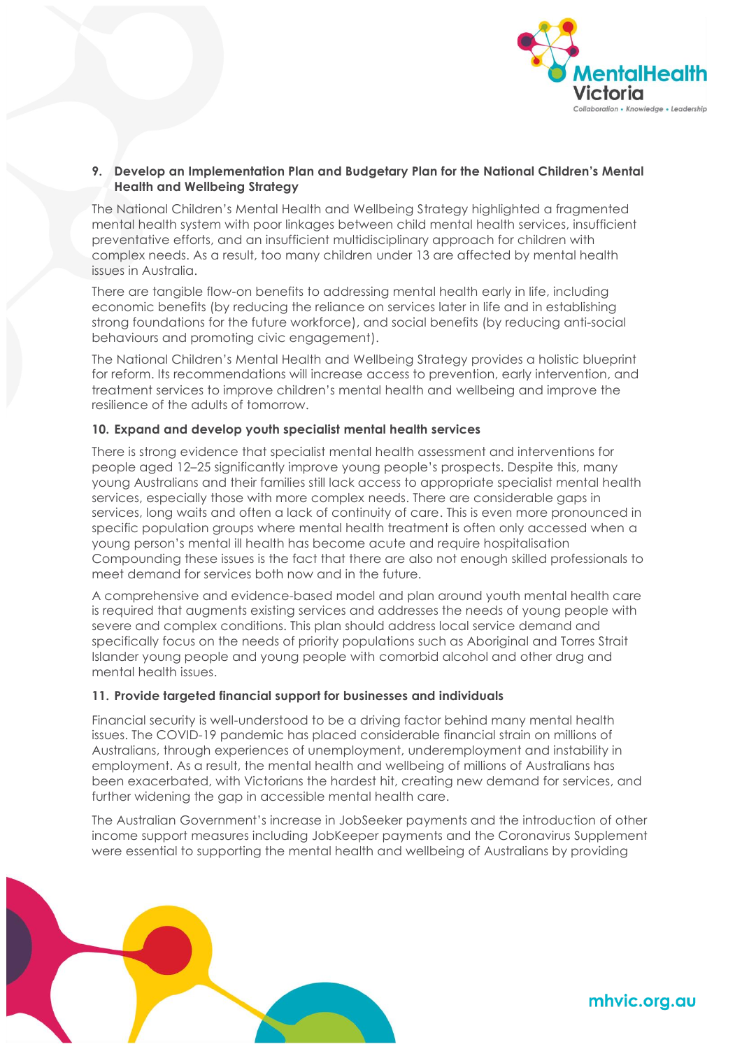

### **9. Develop an Implementation Plan and Budgetary Plan for the National Children's Mental Health and Wellbeing Strategy**

The National Children's Mental Health and Wellbeing Strategy highlighted a fragmented mental health system with poor linkages between child mental health services, insufficient preventative efforts, and an insufficient multidisciplinary approach for children with complex needs. As a result, too many children under 13 are affected by mental health issues in Australia.

There are tangible flow-on benefits to addressing mental health early in life, including economic benefits (by reducing the reliance on services later in life and in establishing strong foundations for the future workforce), and social benefits (by reducing anti-social behaviours and promoting civic engagement).

The National Children's Mental Health and Wellbeing Strategy provides a holistic blueprint for reform. Its recommendations will increase access to prevention, early intervention, and treatment services to improve children's mental health and wellbeing and improve the resilience of the adults of tomorrow.

### **10. Expand and develop youth specialist mental health services**

There is strong evidence that specialist mental health assessment and interventions for people aged 12–25 significantly improve young people's prospects. Despite this, many young Australians and their families still lack access to appropriate specialist mental health services, especially those with more complex needs. There are considerable gaps in services, long waits and often a lack of continuity of care. This is even more pronounced in specific population groups where mental health treatment is often only accessed when a young person's mental ill health has become acute and require hospitalisation Compounding these issues is the fact that there are also not enough skilled professionals to meet demand for services both now and in the future.

A comprehensive and evidence-based model and plan around youth mental health care is required that augments existing services and addresses the needs of young people with severe and complex conditions. This plan should address local service demand and specifically focus on the needs of priority populations such as Aboriginal and Torres Strait Islander young people and young people with comorbid alcohol and other drug and mental health issues.

### **11. Provide targeted financial support for businesses and individuals**

Financial security is well-understood to be a driving factor behind many mental health issues. The COVID-19 pandemic has placed considerable financial strain on millions of Australians, through experiences of unemployment, underemployment and instability in employment. As a result, the mental health and wellbeing of millions of Australians has been exacerbated, with Victorians the hardest hit, creating new demand for services, and further widening the gap in accessible mental health care.

The Australian Government's increase in JobSeeker payments and the introduction of other income support measures including JobKeeper payments and the Coronavirus Supplement were essential to supporting the mental health and wellbeing of Australians by providing